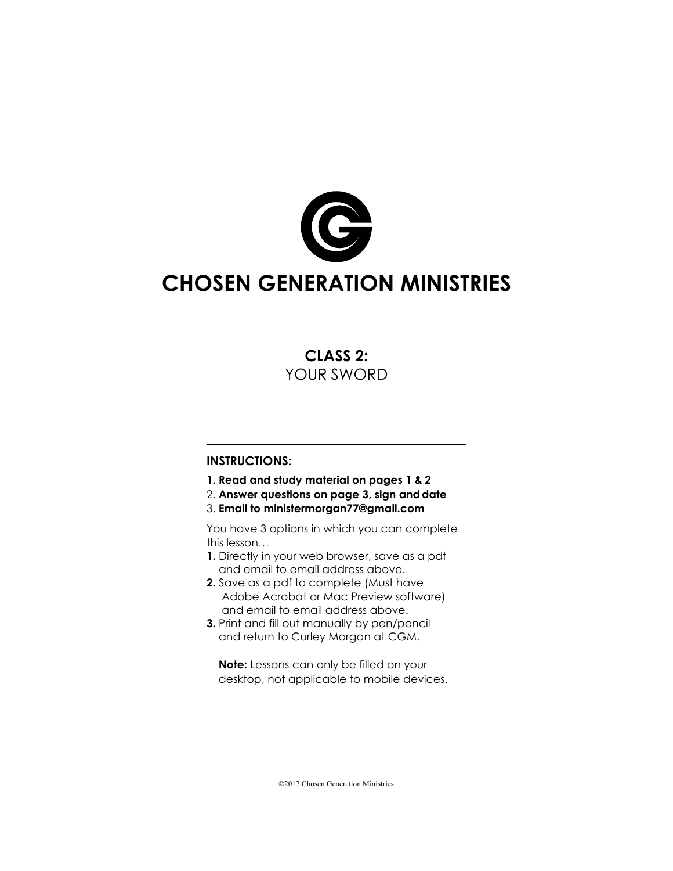

# **CHOSEN GENERATION MINISTRIES**

## **CLASS 2:** YOUR SWORD

#### **INSTRUCTIONS:**

- **1. Read and study material on pages 1 & 2**
- 2. **Answer questions on page 3, sign anddate**
- 3. **Email to ministermorgan77@gmail.com**

You have 3 options in which you can complete this lesson…

- **1.** Directly in your web browser, save as a pdf and email to email address above.
- **2.** Save as a pdf to complete (Must have Adobe Acrobat or Mac Preview software) and email to email address above.
- **3.** Print and fill out manually by pen/pencil and return to Curley Morgan at CGM.

**Note:** Lessons can only be filled on your desktop, not applicable to mobile devices.

©2017 Chosen Generation Ministries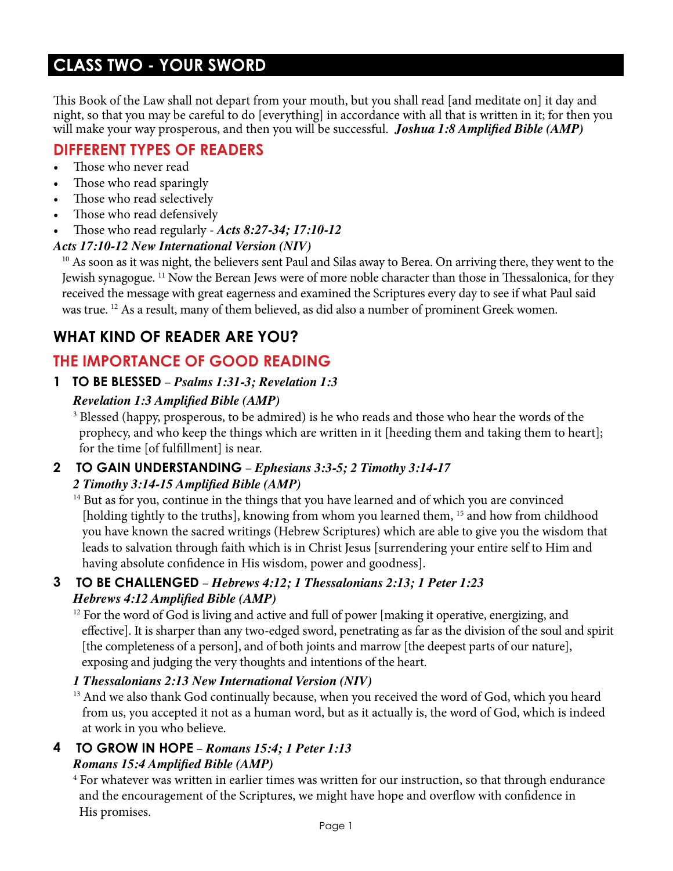# **CLASS TWO - YOUR SWORD**

This Book of the Law shall not depart from your mouth, but you shall read [and meditate on] it day and night, so that you may be careful to do [everything] in accordance with all that is written in it; for then you will make your way prosperous, and then you will be successful. *Joshua 1:8 Amplified Bible (AMP)*

# **DIFFERENT TYPES OF READERS**

- Those who never read
- Those who read sparingly
- Those who read selectively
- Those who read defensively
- Those who read regularly *Acts 8:27-34; 17:10-12*

### *Acts 17:10-12 New International Version (NIV)*

<sup>10</sup> As soon as it was night, the believers sent Paul and Silas away to Berea. On arriving there, they went to the Jewish synagogue. 11 Now the Berean Jews were of more noble character than those in Thessalonica, for they received the message with great eagerness and examined the Scriptures every day to see if what Paul said was true. 12 As a result, many of them believed, as did also a number of prominent Greek women.

# **WHAT KIND OF READER ARE YOU?**

# **THE IMPORTANCE OF GOOD READING**

**1 TO BE BLESSED** – *Psalms 1:31-3; Revelation 1:3* 

### *Revelation 1:3 Amplified Bible (AMP)*

<sup>3</sup> Blessed (happy, prosperous, to be admired) is he who reads and those who hear the words of the prophecy, and who keep the things which are written in it [heeding them and taking them to heart]; for the time [of fulfillment] is near.

#### **2 TO GAIN UNDERSTANDING** – *Ephesians 3:3-5; 2 Timothy 3:14-17 2 Timothy 3:14-15 Amplified Bible (AMP)*

 $14$  But as for you, continue in the things that you have learned and of which you are convinced [holding tightly to the truths], knowing from whom you learned them, <sup>15</sup> and how from childhood you have known the sacred writings (Hebrew Scriptures) which are able to give you the wisdom that leads to salvation through faith which is in Christ Jesus [surrendering your entire self to Him and having absolute confidence in His wisdom, power and goodness].

### **3 TO BE CHALLENGED** – *Hebrews 4:12; 1 Thessalonians 2:13; 1 Peter 1:23 Hebrews 4:12 Amplified Bible (AMP)*

 $12$  For the word of God is living and active and full of power [making it operative, energizing, and effective]. It is sharper than any two-edged sword, penetrating as far as the division of the soul and spirit [the completeness of a person], and of both joints and marrow [the deepest parts of our nature], exposing and judging the very thoughts and intentions of the heart.

### *1 Thessalonians 2:13 New International Version (NIV)*

<sup>13</sup> And we also thank God continually because, when you received the word of God, which you heard from us, you accepted it not as a human word, but as it actually is, the word of God, which is indeed at work in you who believe.

# **4 TO GROW IN HOPE** – *Romans 15:4; 1 Peter 1:13*

#### *Romans 15:4 Amplified Bible (AMP)*

<sup>4</sup> For whatever was written in earlier times was written for our instruction, so that through endurance and the encouragement of the Scriptures, we might have hope and overflow with confidence in His promises.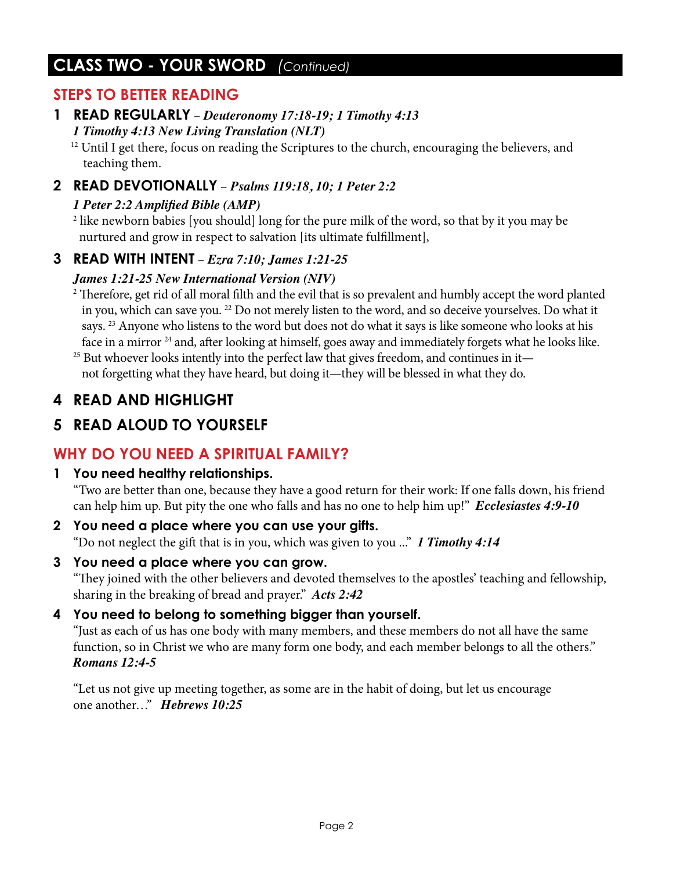# **CLASS TWO - YOUR SWORD** *(Continued)*

### **STEPS TO BETTER READING**

### **1 READ REGULARLY** – *Deuteronomy 17:18-19; 1 Timothy 4:13 1 Timothy 4:13 New Living Translation (NLT)*

<sup>12</sup> Until I get there, focus on reading the Scriptures to the church, encouraging the believers, and teaching them.

### **2 READ DEVOTIONALLY** – *Psalms 119:18, 10; 1 Peter 2:2*

### *1 Peter 2:2 Amplified Bible (AMP)*

 $^2$  like newborn babies [you should] long for the pure milk of the word, so that by it you may be nurtured and grow in respect to salvation [its ultimate fulfillment],

### **3 READ WITH INTENT** – *Ezra 7:10; James 1:21-25*

### *James 1:21-25 New International Version (NIV)*

 $2$  Therefore, get rid of all moral filth and the evil that is so prevalent and humbly accept the word planted in you, which can save you. 22 Do not merely listen to the word, and so deceive yourselves. Do what it says. <sup>23</sup> Anyone who listens to the word but does not do what it says is like someone who looks at his face in a mirror<sup>24</sup> and, after looking at himself, goes away and immediately forgets what he looks like.

 $25$  But whoever looks intently into the perfect law that gives freedom, and continues in it not forgetting what they have heard, but doing it—they will be blessed in what they do.

# **4 READ AND HIGHLIGHT**

# **5 READ ALOUD TO YOURSELF**

### **WHY DO YOU NEED A SPIRITUAL FAMILY?**

### **1 You need healthy relationships.**

"Two are better than one, because they have a good return for their work: If one falls down, his friend can help him up. But pity the one who falls and has no one to help him up!" *Ecclesiastes 4:9-10*

- **2 You need a place where you can use your gifts.** "Do not neglect the gift that is in you, which was given to you ..." *1 Timothy 4:14*
- **3 You need a place where you can grow.**

"They joined with the other believers and devoted themselves to the apostles' teaching and fellowship, sharing in the breaking of bread and prayer." *Acts 2:42*

### **4 You need to belong to something bigger than yourself.**

"Just as each of us has one body with many members, and these members do not all have the same function, so in Christ we who are many form one body, and each member belongs to all the others." *Romans 12:4-5*

"Let us not give up meeting together, as some are in the habit of doing, but let us encourage one another…" *Hebrews 10:25*